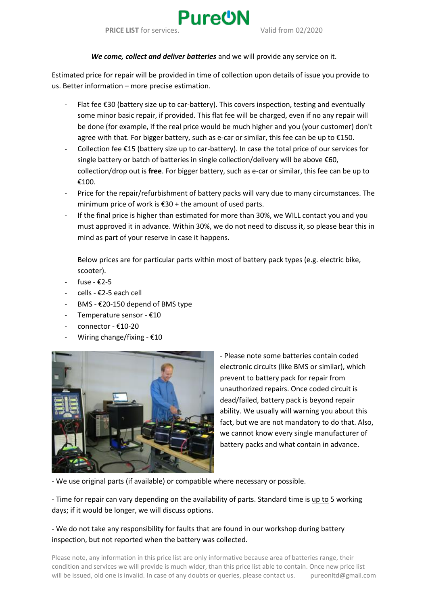

## *We come, collect and deliver batteries* and we will provide any service on it.

Estimated price for repair will be provided in time of collection upon details of issue you provide to us. Better information – more precise estimation.

- Flat fee  $\epsilon$ 30 (battery size up to car-battery). This covers inspection, testing and eventually some minor basic repair, if provided. This flat fee will be charged, even if no any repair will be done (for example, if the real price would be much higher and you (your customer) don't agree with that. For bigger battery, such as e-car or similar, this fee can be up to €150.
- Collection fee €15 (battery size up to car-battery). In case the total price of our services for single battery or batch of batteries in single collection/delivery will be above €60, collection/drop out is **free**. For bigger battery, such as e-car or similar, this fee can be up to €100.
- Price for the repair/refurbishment of battery packs will vary due to many circumstances. The minimum price of work is €30 + the amount of used parts.
- If the final price is higher than estimated for more than 30%, we WILL contact you and you must approved it in advance. Within 30%, we do not need to discuss it, so please bear this in mind as part of your reserve in case it happens.

Below prices are for particular parts within most of battery pack types (e.g. electric bike, scooter).

- fuse  $£2-5$
- cells €2-5 each cell
- BMS €20-150 depend of BMS type
- Temperature sensor €10
- connector €10-20
- Wiring change/fixing  $£10$



- Please note some batteries contain coded electronic circuits (like BMS or similar), which prevent to battery pack for repair from unauthorized repairs. Once coded circuit is dead/failed, battery pack is beyond repair ability. We usually will warning you about this fact, but we are not mandatory to do that. Also, we cannot know every single manufacturer of battery packs and what contain in advance.

- We use original parts (if available) or compatible where necessary or possible.

- Time for repair can vary depending on the availability of parts. Standard time is up to 5 working days; if it would be longer, we will discuss options.

## - We do not take any responsibility for faults that are found in our workshop during battery inspection, but not reported when the battery was collected.

Please note, any information in this price list are only informative because area of batteries range, their condition and services we will provide is much wider, than this price list able to contain. Once new price list will be issued, old one is invalid. In case of any doubts or queries, please contact us. pureonltd@gmail.com